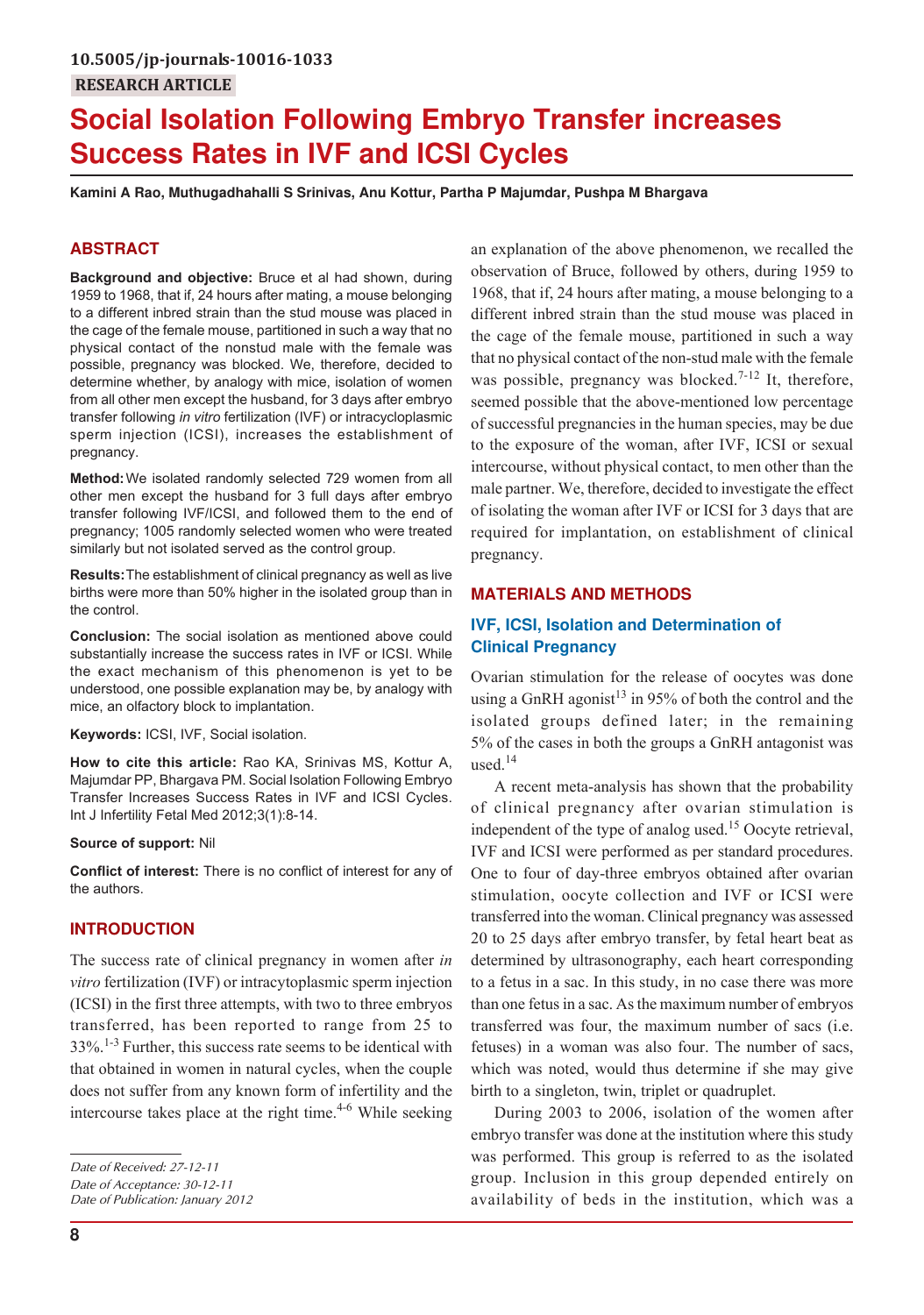# **Social Isolation Following Embryo Transfer increases Success Rates in IVF and ICSI Cycles**

**Kamini A Rao, Muthugadhahalli S Srinivas, Anu Kottur, Partha P Majumdar, Pushpa M Bhargava**

# **ABSTRACT**

**Background and objective:** Bruce et al had shown, during 1959 to 1968, that if, 24 hours after mating, a mouse belonging to a different inbred strain than the stud mouse was placed in the cage of the female mouse, partitioned in such a way that no physical contact of the nonstud male with the female was possible, pregnancy was blocked. We, therefore, decided to determine whether, by analogy with mice, isolation of women from all other men except the husband, for 3 days after embryo transfer following *in vitro* fertilization (IVF) or intracycloplasmic sperm injection (ICSI), increases the establishment of pregnancy.

**Method:**We isolated randomly selected 729 women from all other men except the husband for 3 full days after embryo transfer following IVF/ICSI, and followed them to the end of pregnancy; 1005 randomly selected women who were treated similarly but not isolated served as the control group.

**Results:**The establishment of clinical pregnancy as well as live births were more than 50% higher in the isolated group than in the control.

**Conclusion:** The social isolation as mentioned above could substantially increase the success rates in IVF or ICSI. While the exact mechanism of this phenomenon is yet to be understood, one possible explanation may be, by analogy with mice, an olfactory block to implantation.

**Keywords:** ICSI, IVF, Social isolation.

**How to cite this article:** Rao KA, Srinivas MS, Kottur A, Majumdar PP, Bhargava PM. Social Isolation Following Embryo Transfer Increases Success Rates in IVF and ICSI Cycles. Int J Infertility Fetal Med 2012;3(1):8-14.

#### **Source of support:** Nil

**Conflict of interest:** There is no conflict of interest for any of the authors.

# **INTRODUCTION**

The success rate of clinical pregnancy in women after *in vitro* fertilization (IVF) or intracytoplasmic sperm injection (ICSI) in the first three attempts, with two to three embryos transferred, has been reported to range from 25 to  $33\%$ .<sup>1-3</sup> Further, this success rate seems to be identical with that obtained in women in natural cycles, when the couple does not suffer from any known form of infertility and the intercourse takes place at the right time. $4-6$  While seeking

*Date of Publication: January 2012*

an explanation of the above phenomenon, we recalled the observation of Bruce, followed by others, during 1959 to 1968, that if, 24 hours after mating, a mouse belonging to a different inbred strain than the stud mouse was placed in the cage of the female mouse, partitioned in such a way that no physical contact of the non-stud male with the female was possible, pregnancy was blocked.<sup>7-12</sup> It, therefore, seemed possible that the above-mentioned low percentage of successful pregnancies in the human species, may be due to the exposure of the woman, after IVF, ICSI or sexual intercourse, without physical contact, to men other than the male partner. We, therefore, decided to investigate the effect of isolating the woman after IVF or ICSI for 3 days that are required for implantation, on establishment of clinical pregnancy.

### **MATERIALS AND METHODS**

# **IVF, ICSI, Isolation and Determination of Clinical Pregnancy**

Ovarian stimulation for the release of oocytes was done using a GnRH agonist<sup>13</sup> in 95% of both the control and the isolated groups defined later; in the remaining 5% of the cases in both the groups a GnRH antagonist was used $14$ 

A recent meta-analysis has shown that the probability of clinical pregnancy after ovarian stimulation is independent of the type of analog used.<sup>15</sup> Oocyte retrieval, IVF and ICSI were performed as per standard procedures. One to four of day-three embryos obtained after ovarian stimulation, oocyte collection and IVF or ICSI were transferred into the woman. Clinical pregnancy was assessed 20 to 25 days after embryo transfer, by fetal heart beat as determined by ultrasonography, each heart corresponding to a fetus in a sac. In this study, in no case there was more than one fetus in a sac. As the maximum number of embryos transferred was four, the maximum number of sacs (i.e. fetuses) in a woman was also four. The number of sacs, which was noted, would thus determine if she may give birth to a singleton, twin, triplet or quadruplet.

During 2003 to 2006, isolation of the women after embryo transfer was done at the institution where this study was performed. This group is referred to as the isolated group. Inclusion in this group depended entirely on availability of beds in the institution, which was a

*Date of Received: 27-12-11 Date of Acceptance: 30-12-11*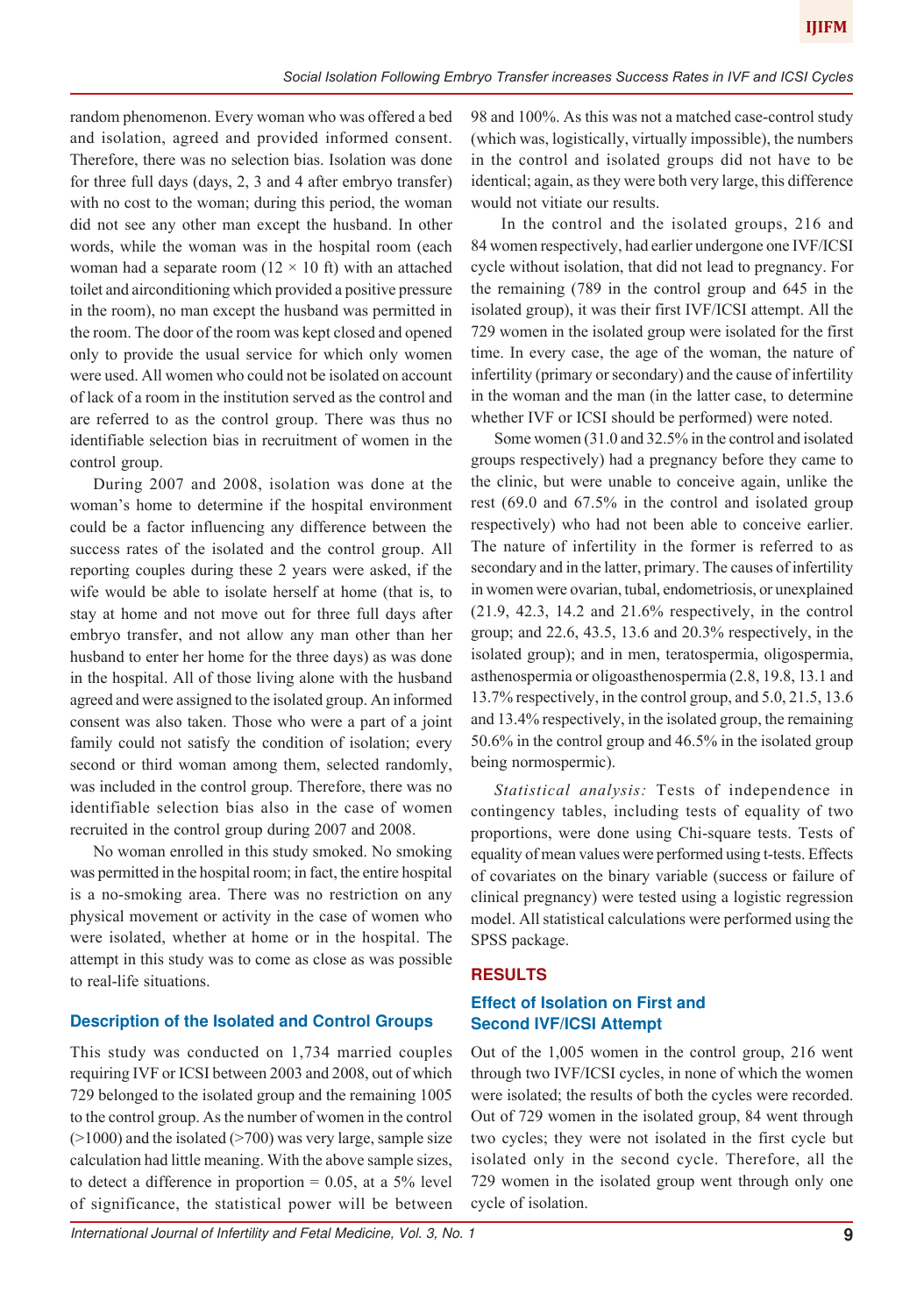random phenomenon. Every woman who was offered a bed and isolation, agreed and provided informed consent. Therefore, there was no selection bias. Isolation was done for three full days (days, 2, 3 and 4 after embryo transfer) with no cost to the woman; during this period, the woman did not see any other man except the husband. In other words, while the woman was in the hospital room (each woman had a separate room  $(12 \times 10$  ft) with an attached toilet and airconditioning which provided a positive pressure in the room), no man except the husband was permitted in the room. The door of the room was kept closed and opened only to provide the usual service for which only women were used. All women who could not be isolated on account of lack of a room in the institution served as the control and are referred to as the control group. There was thus no identifiable selection bias in recruitment of women in the control group.

During 2007 and 2008, isolation was done at the woman's home to determine if the hospital environment could be a factor influencing any difference between the success rates of the isolated and the control group. All reporting couples during these 2 years were asked, if the wife would be able to isolate herself at home (that is, to stay at home and not move out for three full days after embryo transfer, and not allow any man other than her husband to enter her home for the three days) as was done in the hospital. All of those living alone with the husband agreed and were assigned to the isolated group. An informed consent was also taken. Those who were a part of a joint family could not satisfy the condition of isolation; every second or third woman among them, selected randomly, was included in the control group. Therefore, there was no identifiable selection bias also in the case of women recruited in the control group during 2007 and 2008.

No woman enrolled in this study smoked. No smoking was permitted in the hospital room; in fact, the entire hospital is a no-smoking area. There was no restriction on any physical movement or activity in the case of women who were isolated, whether at home or in the hospital. The attempt in this study was to come as close as was possible to real-life situations.

#### **Description of the Isolated and Control Groups**

This study was conducted on 1,734 married couples requiring IVF or ICSI between 2003 and 2008, out of which 729 belonged to the isolated group and the remaining 1005 to the control group. As the number of women in the control  $(>1000)$  and the isolated  $(>700)$  was very large, sample size calculation had little meaning. With the above sample sizes, to detect a difference in proportion  $= 0.05$ , at a 5% level of significance, the statistical power will be between

International Journal of Infertility and Fetal Medicine, Vol. 3, No. 1 **9** 

98 and 100%. As this was not a matched case-control study (which was, logistically, virtually impossible), the numbers in the control and isolated groups did not have to be identical; again, as they were both very large, this difference would not vitiate our results.

 In the control and the isolated groups, 216 and 84 women respectively, had earlier undergone one IVF/ICSI cycle without isolation, that did not lead to pregnancy. For the remaining (789 in the control group and 645 in the isolated group), it was their first IVF/ICSI attempt. All the 729 women in the isolated group were isolated for the first time. In every case, the age of the woman, the nature of infertility (primary or secondary) and the cause of infertility in the woman and the man (in the latter case, to determine whether IVF or ICSI should be performed) were noted.

Some women (31.0 and 32.5% in the control and isolated groups respectively) had a pregnancy before they came to the clinic, but were unable to conceive again, unlike the rest (69.0 and 67.5% in the control and isolated group respectively) who had not been able to conceive earlier. The nature of infertility in the former is referred to as secondary and in the latter, primary. The causes of infertility in women were ovarian, tubal, endometriosis, or unexplained (21.9, 42.3, 14.2 and 21.6% respectively, in the control group; and 22.6, 43.5, 13.6 and 20.3% respectively, in the isolated group); and in men, teratospermia, oligospermia, asthenospermia or oligoasthenospermia (2.8, 19.8, 13.1 and 13.7% respectively, in the control group, and 5.0, 21.5, 13.6 and 13.4% respectively, in the isolated group, the remaining 50.6% in the control group and 46.5% in the isolated group being normospermic).

*Statistical analysis:* Tests of independence in contingency tables, including tests of equality of two proportions, were done using Chi-square tests. Tests of equality of mean values were performed using t-tests. Effects of covariates on the binary variable (success or failure of clinical pregnancy) were tested using a logistic regression model. All statistical calculations were performed using the SPSS package.

#### **RESULTS**

# **Effect of Isolation on First and Second IVF/ICSI Attempt**

Out of the 1,005 women in the control group, 216 went through two IVF/ICSI cycles, in none of which the women were isolated; the results of both the cycles were recorded. Out of 729 women in the isolated group, 84 went through two cycles; they were not isolated in the first cycle but isolated only in the second cycle. Therefore, all the 729 women in the isolated group went through only one cycle of isolation.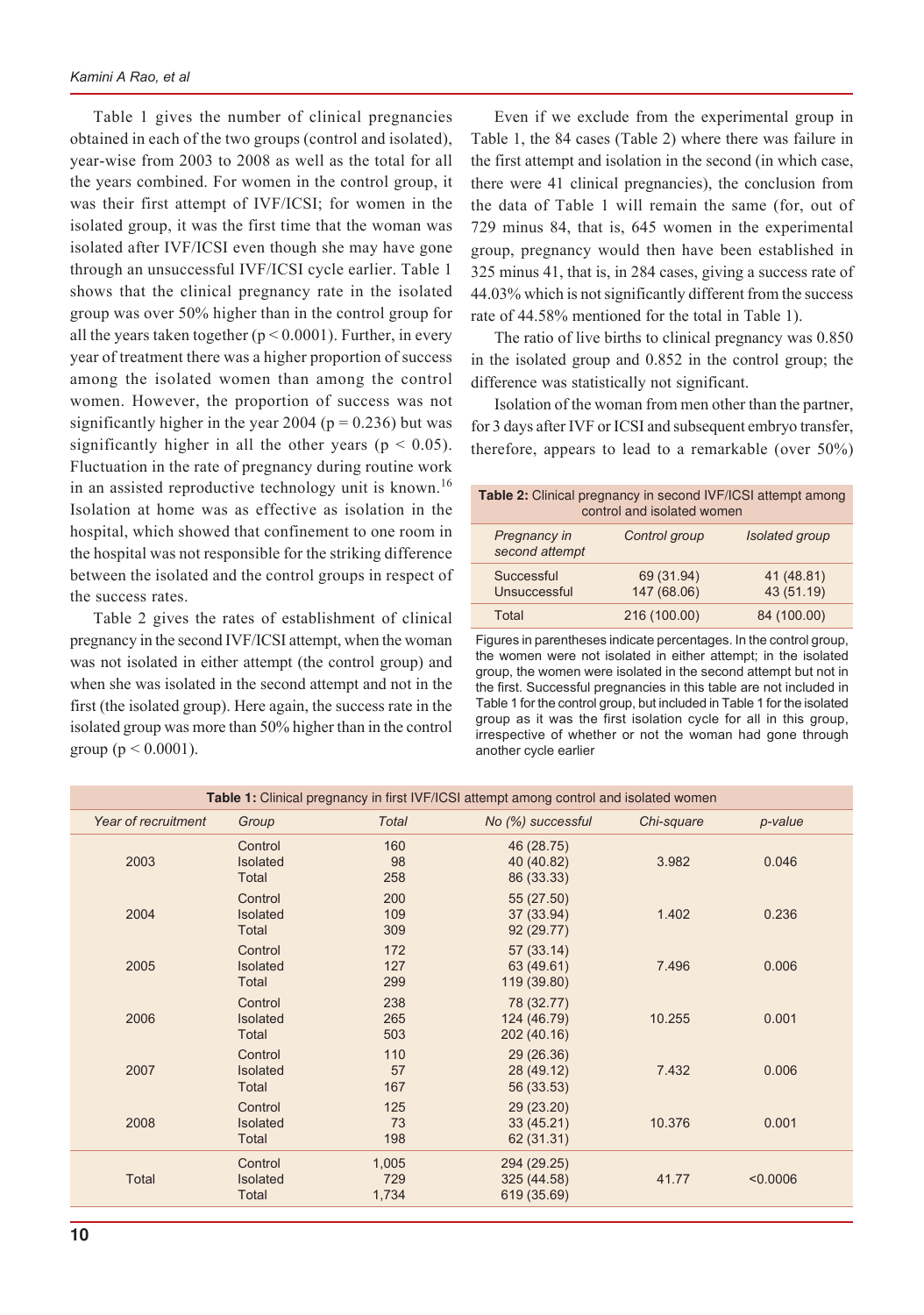Table 1 gives the number of clinical pregnancies obtained in each of the two groups (control and isolated), year-wise from 2003 to 2008 as well as the total for all the years combined. For women in the control group, it was their first attempt of IVF/ICSI; for women in the isolated group, it was the first time that the woman was isolated after IVF/ICSI even though she may have gone through an unsuccessful IVF/ICSI cycle earlier. Table 1 shows that the clinical pregnancy rate in the isolated group was over 50% higher than in the control group for all the years taken together ( $p < 0.0001$ ). Further, in every year of treatment there was a higher proportion of success among the isolated women than among the control women. However, the proportion of success was not significantly higher in the year 2004 ( $p = 0.236$ ) but was significantly higher in all the other years ( $p < 0.05$ ). Fluctuation in the rate of pregnancy during routine work in an assisted reproductive technology unit is known.<sup>16</sup> Isolation at home was as effective as isolation in the hospital, which showed that confinement to one room in the hospital was not responsible for the striking difference between the isolated and the control groups in respect of the success rates.

Table 2 gives the rates of establishment of clinical pregnancy in the second IVF/ICSI attempt, when the woman was not isolated in either attempt (the control group) and when she was isolated in the second attempt and not in the first (the isolated group). Here again, the success rate in the isolated group was more than 50% higher than in the control group ( $p < 0.0001$ ).

Even if we exclude from the experimental group in Table 1, the 84 cases (Table 2) where there was failure in the first attempt and isolation in the second (in which case, there were 41 clinical pregnancies), the conclusion from the data of Table 1 will remain the same (for, out of 729 minus 84, that is, 645 women in the experimental group, pregnancy would then have been established in 325 minus 41, that is, in 284 cases, giving a success rate of 44.03% which is not significantly different from the success rate of 44.58% mentioned for the total in Table 1).

The ratio of live births to clinical pregnancy was 0.850 in the isolated group and 0.852 in the control group; the difference was statistically not significant.

Isolation of the woman from men other than the partner, for 3 days after IVF or ICSI and subsequent embryo transfer, therefore, appears to lead to a remarkable (over 50%)

| Table 2: Clinical pregnancy in second IVF/ICSI attempt among | control and isolated women |                          |
|--------------------------------------------------------------|----------------------------|--------------------------|
| Pregnancy in<br>second attempt                               | Control group              | Isolated group           |
| Successful<br>Unsuccessful                                   | 69 (31.94)<br>147 (68.06)  | 41 (48.81)<br>43 (51.19) |
| Total                                                        | 216 (100.00)               | 84 (100.00)              |

Figures in parentheses indicate percentages. In the control group, the women were not isolated in either attempt; in the isolated group, the women were isolated in the second attempt but not in the first. Successful pregnancies in this table are not included in Table 1 for the control group, but included in Table 1 for the isolated group as it was the first isolation cycle for all in this group, irrespective of whether or not the woman had gone through another cycle earlier

|                     |                                     |                       | Table 1: Clinical pregnancy in first IVF/ICSI attempt among control and isolated women |            |          |
|---------------------|-------------------------------------|-----------------------|----------------------------------------------------------------------------------------|------------|----------|
| Year of recruitment | Group                               | <b>Total</b>          | No (%) successful                                                                      | Chi-square | p-value  |
| 2003                | Control<br>Isolated<br>Total        | 160<br>98<br>258      | 46 (28.75)<br>40 (40.82)<br>86 (33.33)                                                 | 3.982      | 0.046    |
| 2004                | Control<br><b>Isolated</b><br>Total | 200<br>109<br>309     | 55 (27.50)<br>37 (33.94)<br>92(29.77)                                                  | 1.402      | 0.236    |
| 2005                | Control<br><b>Isolated</b><br>Total | 172<br>127<br>299     | 57 (33.14)<br>63 (49.61)<br>119 (39.80)                                                | 7.496      | 0.006    |
| 2006                | Control<br>Isolated<br>Total        | 238<br>265<br>503     | 78 (32.77)<br>124 (46.79)<br>202 (40.16)                                               | 10.255     | 0.001    |
| 2007                | Control<br>Isolated<br>Total        | 110<br>57<br>167      | 29 (26.36)<br>28 (49.12)<br>56 (33.53)                                                 | 7.432      | 0.006    |
| 2008                | Control<br><b>Isolated</b><br>Total | 125<br>73<br>198      | 29 (23.20)<br>33 (45.21)<br>62 (31.31)                                                 | 10.376     | 0.001    |
| <b>Total</b>        | Control<br>Isolated<br>Total        | 1,005<br>729<br>1,734 | 294 (29.25)<br>325 (44.58)<br>619 (35.69)                                              | 41.77      | < 0.0006 |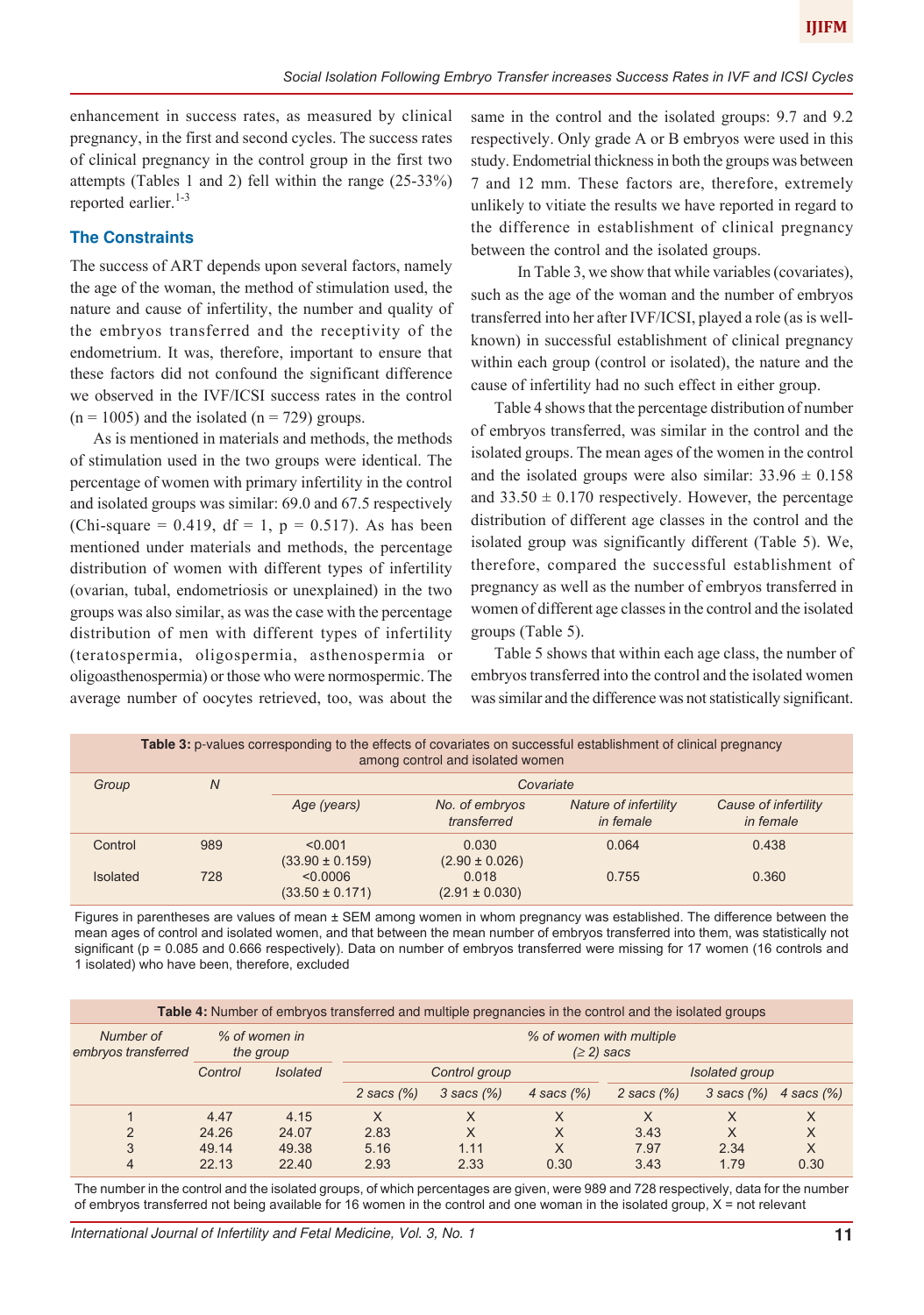enhancement in success rates, as measured by clinical pregnancy, in the first and second cycles. The success rates of clinical pregnancy in the control group in the first two attempts (Tables 1 and 2) fell within the range (25-33%) reported earlier.<sup>1-3</sup>

# **The Constraints**

The success of ART depends upon several factors, namely the age of the woman, the method of stimulation used, the nature and cause of infertility, the number and quality of the embryos transferred and the receptivity of the endometrium. It was, therefore, important to ensure that these factors did not confound the significant difference we observed in the IVF/ICSI success rates in the control  $(n = 1005)$  and the isolated  $(n = 729)$  groups.

As is mentioned in materials and methods, the methods of stimulation used in the two groups were identical. The percentage of women with primary infertility in the control and isolated groups was similar: 69.0 and 67.5 respectively (Chi-square = 0.419,  $df = 1$ ,  $p = 0.517$ ). As has been mentioned under materials and methods, the percentage distribution of women with different types of infertility (ovarian, tubal, endometriosis or unexplained) in the two groups was also similar, as was the case with the percentage distribution of men with different types of infertility (teratospermia, oligospermia, asthenospermia or oligoasthenospermia) or those who were normospermic. The average number of oocytes retrieved, too, was about the

same in the control and the isolated groups: 9.7 and 9.2 respectively. Only grade A or B embryos were used in this study. Endometrial thickness in both the groups was between 7 and 12 mm. These factors are, therefore, extremely unlikely to vitiate the results we have reported in regard to the difference in establishment of clinical pregnancy between the control and the isolated groups.

In Table 3, we show that while variables (covariates), such as the age of the woman and the number of embryos transferred into her after IVF/ICSI, played a role (as is wellknown) in successful establishment of clinical pregnancy within each group (control or isolated), the nature and the cause of infertility had no such effect in either group.

Table 4 shows that the percentage distribution of number of embryos transferred, was similar in the control and the isolated groups. The mean ages of the women in the control and the isolated groups were also similar:  $33.96 \pm 0.158$ and  $33.50 \pm 0.170$  respectively. However, the percentage distribution of different age classes in the control and the isolated group was significantly different (Table 5). We, therefore, compared the successful establishment of pregnancy as well as the number of embryos transferred in women of different age classes in the control and the isolated groups (Table 5).

Table 5 shows that within each age class, the number of embryos transferred into the control and the isolated women was similar and the difference was not statistically significant.

|                 |     | Table 3: p-values corresponding to the effects of covariates on successful establishment of clinical pregnancy | among control and isolated women |                                    |                                   |
|-----------------|-----|----------------------------------------------------------------------------------------------------------------|----------------------------------|------------------------------------|-----------------------------------|
| Group           | N   |                                                                                                                | Covariate                        |                                    |                                   |
|                 |     | Age (years)                                                                                                    | No. of embryos<br>transferred    | Nature of infertility<br>in female | Cause of infertility<br>in female |
| Control         | 989 | < 0.001<br>$(33.90 \pm 0.159)$                                                                                 | 0.030<br>$(2.90 \pm 0.026)$      | 0.064                              | 0.438                             |
| <b>Isolated</b> | 728 | 0.0006<br>$(33.50 \pm 0.171)$                                                                                  | 0.018<br>$(2.91 \pm 0.030)$      | 0.755                              | 0.360                             |

Figures in parentheses are values of mean ± SEM among women in whom pregnancy was established. The difference between the mean ages of control and isolated women, and that between the mean number of embryos transferred into them, was statistically not significant (p = 0.085 and 0.666 respectively). Data on number of embryos transferred were missing for 17 women (16 controls and 1 isolated) who have been, therefore, excluded

| Table 4: Number of embryos transferred and multiple pregnancies in the control and the isolated groups |                            |                 |                                          |                 |              |              |                 |               |
|--------------------------------------------------------------------------------------------------------|----------------------------|-----------------|------------------------------------------|-----------------|--------------|--------------|-----------------|---------------|
| Number of<br>embryos transferred                                                                       | % of women in<br>the group |                 | % of women with multiple<br>$(≥ 2)$ sacs |                 |              |              |                 |               |
|                                                                                                        | Control                    | <b>Isolated</b> |                                          | Control group   |              |              | Isolated group  |               |
|                                                                                                        |                            |                 | 2 sacs $(\%)$                            | $3$ sacs $(\%)$ | 4 sacs $(%)$ | 2 sacs $(%)$ | $3$ sacs $(\%)$ | 4 sacs $(\%)$ |
|                                                                                                        | 4.47                       | 4.15            | X                                        | X               | X            | X            | X               | X             |
| $\mathcal{P}$                                                                                          | 24.26                      | 24.07           | 2.83                                     | X               | X            | 3.43         | X               | X             |
| 3                                                                                                      | 49.14                      | 49.38           | 5.16                                     | 1.11            | X            | 7.97         | 2.34            | X             |
| 4                                                                                                      | 22.13                      | 22.40           | 2.93                                     | 2.33            | 0.30         | 3.43         | 1.79            | 0.30          |

The number in the control and the isolated groups, of which percentages are given, were 989 and 728 respectively, data for the number of embryos transferred not being available for 16 women in the control and one woman in the isolated group,  $X = not$  relevant

International Journal of Infertility and Fetal Medicine, Vol. 3, No. 1 **11**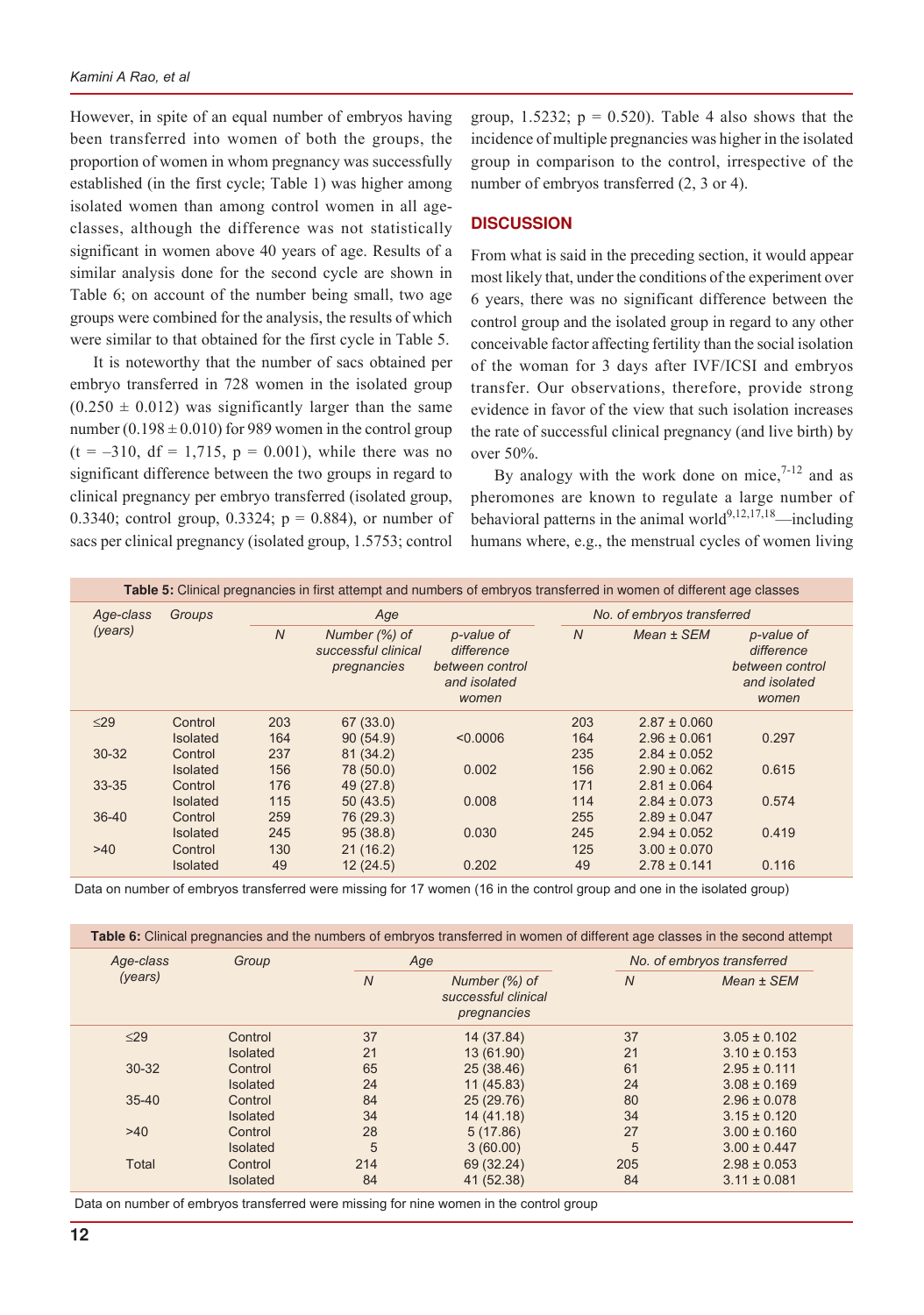However, in spite of an equal number of embryos having been transferred into women of both the groups, the proportion of women in whom pregnancy was successfully established (in the first cycle; Table 1) was higher among isolated women than among control women in all ageclasses, although the difference was not statistically significant in women above 40 years of age. Results of a similar analysis done for the second cycle are shown in Table 6; on account of the number being small, two age groups were combined for the analysis, the results of which were similar to that obtained for the first cycle in Table 5.

It is noteworthy that the number of sacs obtained per embryo transferred in 728 women in the isolated group  $(0.250 \pm 0.012)$  was significantly larger than the same number  $(0.198 \pm 0.010)$  for 989 women in the control group  $(t = -310, df = 1,715, p = 0.001)$ , while there was no significant difference between the two groups in regard to clinical pregnancy per embryo transferred (isolated group, 0.3340; control group, 0.3324;  $p = 0.884$ ), or number of sacs per clinical pregnancy (isolated group, 1.5753; control

group, 1.5232;  $p = 0.520$ . Table 4 also shows that the incidence of multiple pregnancies was higher in the isolated group in comparison to the control, irrespective of the number of embryos transferred  $(2, 3 \text{ or } 4)$ .

#### **DISCUSSION**

From what is said in the preceding section, it would appear most likely that, under the conditions of the experiment over 6 years, there was no significant difference between the control group and the isolated group in regard to any other conceivable factor affecting fertility than the social isolation of the woman for 3 days after IVF/ICSI and embryos transfer. Our observations, therefore, provide strong evidence in favor of the view that such isolation increases the rate of successful clinical pregnancy (and live birth) by over 50%.

By analogy with the work done on mice, $7-12$  and as pheromones are known to regulate a large number of behavioral patterns in the animal world<sup>9,12,17,18</sup>—including humans where, e.g., the menstrual cycles of women living

|           |                 |                | Table 5: Clinical pregnancies in first attempt and numbers of embryos transferred in women of different age classes |                                                                      |                |                            |                                                                      |
|-----------|-----------------|----------------|---------------------------------------------------------------------------------------------------------------------|----------------------------------------------------------------------|----------------|----------------------------|----------------------------------------------------------------------|
| Age-class | Groups          |                | Age                                                                                                                 |                                                                      |                | No. of embryos transferred |                                                                      |
| (years)   |                 | $\overline{N}$ | Number (%) of<br>successful clinical<br>pregnancies                                                                 | p-value of<br>difference<br>between control<br>and isolated<br>women | $\overline{N}$ | Mean ± SEM                 | p-value of<br>difference<br>between control<br>and isolated<br>women |
| $\leq$ 29 | Control         | 203            | 67 (33.0)                                                                                                           |                                                                      | 203            | $2.87 \pm 0.060$           |                                                                      |
|           | <b>Isolated</b> | 164            | 90(54.9)                                                                                                            | < 0.0006                                                             | 164            | $2.96 \pm 0.061$           | 0.297                                                                |
| $30 - 32$ | Control         | 237            | 81 (34.2)                                                                                                           |                                                                      | 235            | $2.84 \pm 0.052$           |                                                                      |
|           | <b>Isolated</b> | 156            | 78 (50.0)                                                                                                           | 0.002                                                                | 156            | $2.90 \pm 0.062$           | 0.615                                                                |
| $33 - 35$ | Control         | 176            | 49 (27.8)                                                                                                           |                                                                      | 171            | $2.81 \pm 0.064$           |                                                                      |
|           | <b>Isolated</b> | 115            | 50(43.5)                                                                                                            | 0.008                                                                | 114            | $2.84 \pm 0.073$           | 0.574                                                                |
| $36 - 40$ | Control         | 259            | 76 (29.3)                                                                                                           |                                                                      | 255            | $2.89 \pm 0.047$           |                                                                      |
|           | <b>Isolated</b> | 245            | 95(38.8)                                                                                                            | 0.030                                                                | 245            | $2.94 \pm 0.052$           | 0.419                                                                |
| >40       | Control         | 130            | 21(16.2)                                                                                                            |                                                                      | 125            | $3.00 \pm 0.070$           |                                                                      |
|           | <b>Isolated</b> | 49             | 12(24.5)                                                                                                            | 0.202                                                                | 49             | $2.78 \pm 0.141$           | 0.116                                                                |

Data on number of embryos transferred were missing for 17 women (16 in the control group and one in the isolated group)

| Age-class<br>(years) | Group           |                | Age                                                 |                | No. of embryos transferred |  |
|----------------------|-----------------|----------------|-----------------------------------------------------|----------------|----------------------------|--|
|                      |                 | $\overline{N}$ | Number (%) of<br>successful clinical<br>pregnancies | $\overline{N}$ | $Mean \pm SEM$             |  |
| $\leq$ 29            | Control         | 37             | 14 (37.84)                                          | 37             | $3.05 \pm 0.102$           |  |
|                      | <b>Isolated</b> | 21             | 13 (61.90)                                          | 21             | $3.10 \pm 0.153$           |  |
| $30 - 32$            | Control         | 65             | 25 (38.46)                                          | 61             | $2.95 \pm 0.111$           |  |
|                      | <b>Isolated</b> | 24             | 11(45.83)                                           | 24             | $3.08 \pm 0.169$           |  |
| $35 - 40$            | Control         | 84             | 25 (29.76)                                          | 80             | $2.96 \pm 0.078$           |  |
|                      | <b>Isolated</b> | 34             | 14 (41.18)                                          | 34             | $3.15 \pm 0.120$           |  |
| $>40$                | Control         | 28             | 5(17.86)                                            | 27             | $3.00 \pm 0.160$           |  |
|                      | <b>Isolated</b> | 5              | 3(60.00)                                            | 5              | $3.00 \pm 0.447$           |  |
| <b>Total</b>         | Control         | 214            | 69 (32.24)                                          | 205            | $2.98 \pm 0.053$           |  |
|                      | <b>Isolated</b> | 84             | 41 (52.38)                                          | 84             | $3.11 \pm 0.081$           |  |

Data on number of embryos transferred were missing for nine women in the control group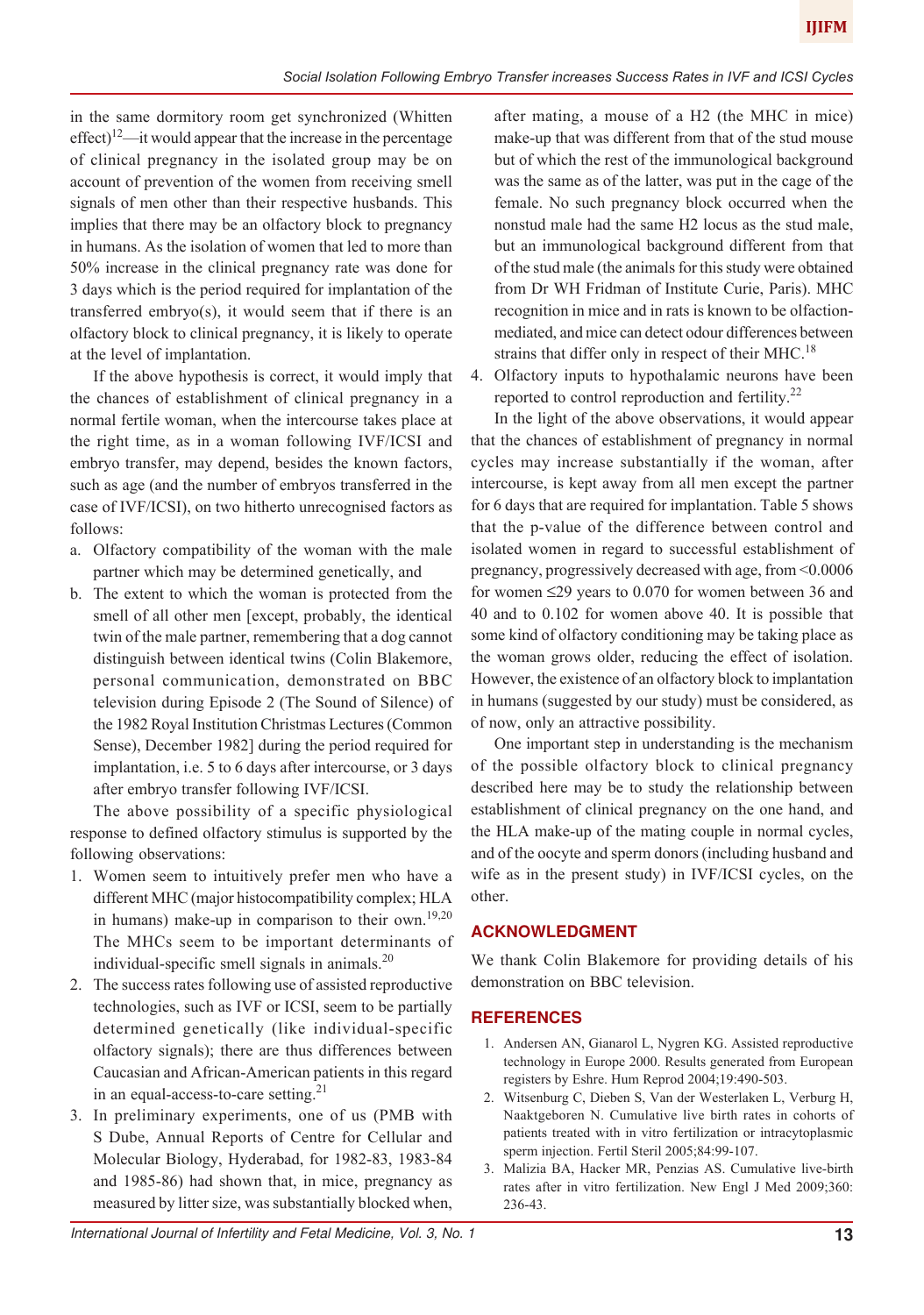in the same dormitory room get synchronized (Whitten effect)<sup>12</sup>—it would appear that the increase in the percentage of clinical pregnancy in the isolated group may be on account of prevention of the women from receiving smell signals of men other than their respective husbands. This implies that there may be an olfactory block to pregnancy in humans. As the isolation of women that led to more than 50% increase in the clinical pregnancy rate was done for 3 days which is the period required for implantation of the transferred embryo(s), it would seem that if there is an olfactory block to clinical pregnancy, it is likely to operate at the level of implantation.

If the above hypothesis is correct, it would imply that the chances of establishment of clinical pregnancy in a normal fertile woman, when the intercourse takes place at the right time, as in a woman following IVF/ICSI and embryo transfer, may depend, besides the known factors, such as age (and the number of embryos transferred in the case of IVF/ICSI), on two hitherto unrecognised factors as follows:

- a. Olfactory compatibility of the woman with the male partner which may be determined genetically, and
- b. The extent to which the woman is protected from the smell of all other men [except, probably, the identical twin of the male partner, remembering that a dog cannot distinguish between identical twins (Colin Blakemore, personal communication, demonstrated on BBC television during Episode 2 (The Sound of Silence) of the 1982 Royal Institution Christmas Lectures (Common Sense), December 1982] during the period required for implantation, i.e. 5 to 6 days after intercourse, or 3 days after embryo transfer following IVF/ICSI.

The above possibility of a specific physiological response to defined olfactory stimulus is supported by the following observations:

- 1. Women seem to intuitively prefer men who have a different MHC (major histocompatibility complex; HLA in humans) make-up in comparison to their own.<sup>19,20</sup> The MHCs seem to be important determinants of individual-specific smell signals in animals. $^{20}$
- 2. The success rates following use of assisted reproductive technologies, such as IVF or ICSI, seem to be partially determined genetically (like individual-specific olfactory signals); there are thus differences between Caucasian and African-American patients in this regard in an equal-access-to-care setting.<sup>21</sup>
- 3. In preliminary experiments, one of us (PMB with S Dube, Annual Reports of Centre for Cellular and Molecular Biology, Hyderabad, for 1982-83, 1983-84 and 1985-86) had shown that, in mice, pregnancy as measured by litter size, was substantially blocked when,

after mating, a mouse of a H2 (the MHC in mice) make-up that was different from that of the stud mouse but of which the rest of the immunological background was the same as of the latter, was put in the cage of the female. No such pregnancy block occurred when the nonstud male had the same H2 locus as the stud male, but an immunological background different from that of the stud male (the animals for this study were obtained from Dr WH Fridman of Institute Curie, Paris). MHC recognition in mice and in rats is known to be olfactionmediated, and mice can detect odour differences between strains that differ only in respect of their MHC.<sup>18</sup>

4. Olfactory inputs to hypothalamic neurons have been reported to control reproduction and fertility.<sup>22</sup>

In the light of the above observations, it would appear that the chances of establishment of pregnancy in normal cycles may increase substantially if the woman, after intercourse, is kept away from all men except the partner for 6 days that are required for implantation. Table 5 shows that the p-value of the difference between control and isolated women in regard to successful establishment of pregnancy, progressively decreased with age, from <0.0006 for women ≤29 years to 0.070 for women between 36 and 40 and to 0.102 for women above 40. It is possible that some kind of olfactory conditioning may be taking place as the woman grows older, reducing the effect of isolation. However, the existence of an olfactory block to implantation in humans (suggested by our study) must be considered, as of now, only an attractive possibility.

One important step in understanding is the mechanism of the possible olfactory block to clinical pregnancy described here may be to study the relationship between establishment of clinical pregnancy on the one hand, and the HLA make-up of the mating couple in normal cycles, and of the oocyte and sperm donors (including husband and wife as in the present study) in IVF/ICSI cycles, on the other.

# **ACKNOWLEDGMENT**

We thank Colin Blakemore for providing details of his demonstration on BBC television.

# **REFERENCES**

- 1. Andersen AN, Gianarol L, Nygren KG. Assisted reproductive technology in Europe 2000. Results generated from European registers by Eshre. Hum Reprod 2004;19:490-503.
- 2. Witsenburg C, Dieben S, Van der Westerlaken L, Verburg H, Naaktgeboren N. Cumulative live birth rates in cohorts of patients treated with in vitro fertilization or intracytoplasmic sperm injection. Fertil Steril 2005;84:99-107.
- 3. Malizia BA, Hacker MR, Penzias AS. Cumulative live-birth rates after in vitro fertilization. New Engl J Med 2009;360: 236-43.